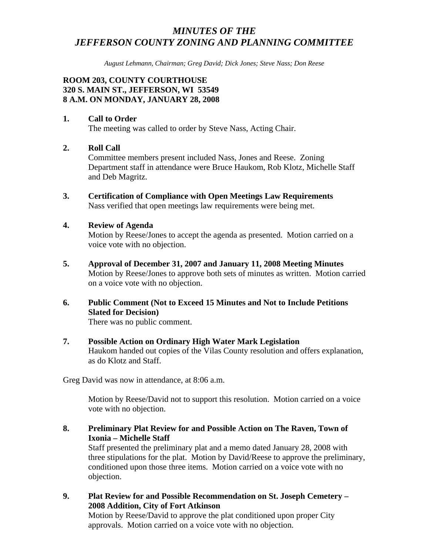# *MINUTES OF THE JEFFERSON COUNTY ZONING AND PLANNING COMMITTEE*

*August Lehmann, Chairman; Greg David; Dick Jones; Steve Nass; Don Reese* 

# **ROOM 203, COUNTY COURTHOUSE 320 S. MAIN ST., JEFFERSON, WI 53549 8 A.M. ON MONDAY, JANUARY 28, 2008**

# **1. Call to Order**

The meeting was called to order by Steve Nass, Acting Chair.

# **2. Roll Call**

Committee members present included Nass, Jones and Reese. Zoning Department staff in attendance were Bruce Haukom, Rob Klotz, Michelle Staff and Deb Magritz.

**3. Certification of Compliance with Open Meetings Law Requirements**  Nass verified that open meetings law requirements were being met.

#### **4. Review of Agenda**

Motion by Reese/Jones to accept the agenda as presented. Motion carried on a voice vote with no objection.

- **5. Approval of December 31, 2007 and January 11, 2008 Meeting Minutes**  Motion by Reese/Jones to approve both sets of minutes as written. Motion carried on a voice vote with no objection.
- **6. Public Comment (Not to Exceed 15 Minutes and Not to Include Petitions Slated for Decision)**

There was no public comment.

#### **7. Possible Action on Ordinary High Water Mark Legislation**  Haukom handed out copies of the Vilas County resolution and offers explanation,

Greg David was now in attendance, at 8:06 a.m.

as do Klotz and Staff.

 Motion by Reese/David not to support this resolution. Motion carried on a voice vote with no objection.

**8. Preliminary Plat Review for and Possible Action on The Raven, Town of Ixonia – Michelle Staff** 

Staff presented the preliminary plat and a memo dated January 28, 2008 with three stipulations for the plat. Motion by David/Reese to approve the preliminary, conditioned upon those three items. Motion carried on a voice vote with no objection.

**9. Plat Review for and Possible Recommendation on St. Joseph Cemetery – 2008 Addition, City of Fort Atkinson** 

Motion by Reese/David to approve the plat conditioned upon proper City approvals. Motion carried on a voice vote with no objection.